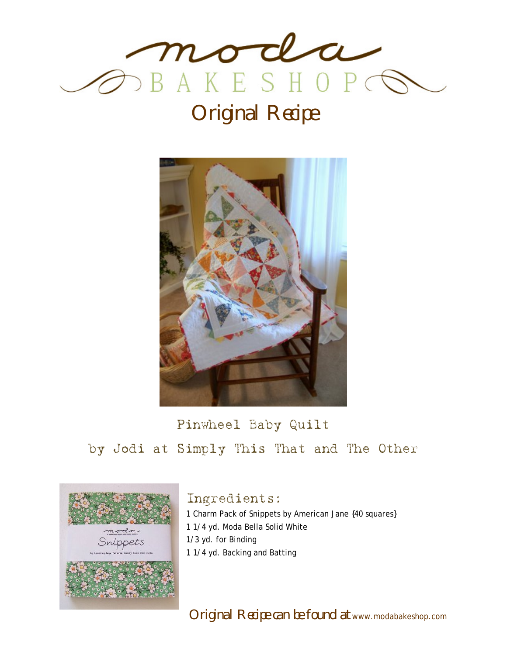

# Original Recipe



## Pinwheel Baby Quilt by Jodi at Simply This That and The Other



#### Ingredients:

1 Charm Pack of Snippets by American Jane {40 squares} 1 1/4 yd. Moda Bella Solid White 1/3 yd. for Binding 1 1/4 yd. Backing and Batting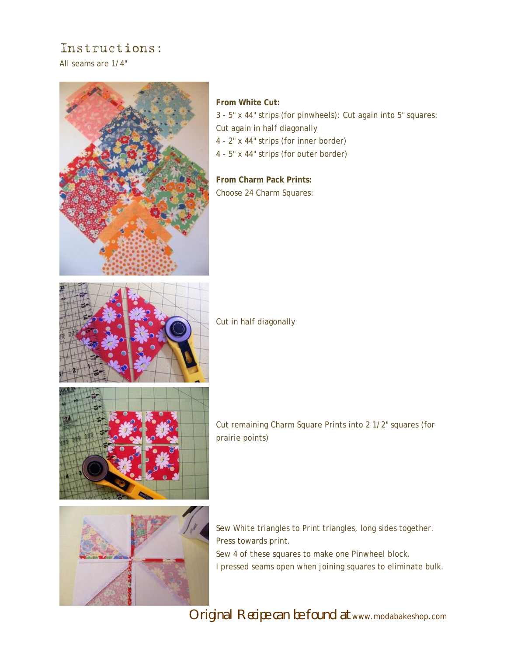### Instructions:

All seams are 1/4"



#### **From White Cut:**

3 - 5" x 44" strips (for pinwheels): Cut again into 5" squares: Cut again in half diagonally 4 - 2" x 44" strips (for inner border) 4 - 5" x 44" strips (for outer border)

**From Charm Pack Prints:**  Choose 24 Charm Squares:



Cut in half diagonally



Cut remaining Charm Square Prints into 2 1/2" squares (for prairie points)



Sew White triangles to Print triangles, long sides together. Press towards print. Sew 4 of these squares to make one Pinwheel block. I pressed seams open when joining squares to eliminate bulk.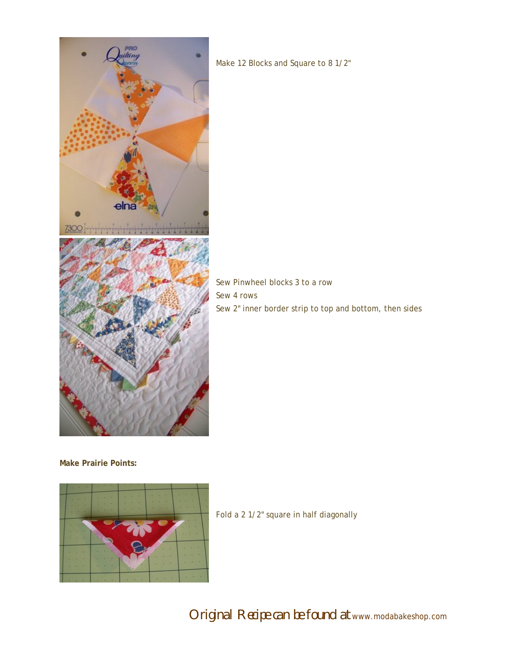

Make 12 Blocks and Square to 8 1/2"

Sew Pinwheel blocks 3 to a row Sew 4 rows Sew 2" inner border strip to top and bottom, then sides

**Make Prairie Points:** 



Fold a 2 1/2" square in half diagonally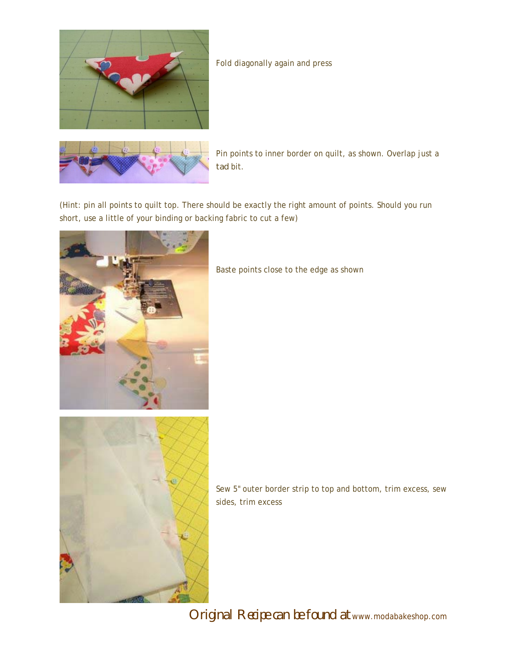

#### Fold diagonally again and press



Pin points to inner border on quilt, as shown. Overlap just a *tad* bit.

(Hint: pin all points to quilt top. There should be exactly the right amount of points. Should you run short, use a little of your binding or backing fabric to cut a few)



Baste points close to the edge as shown

Sew 5" outer border strip to top and bottom, trim excess, sew sides, trim excess